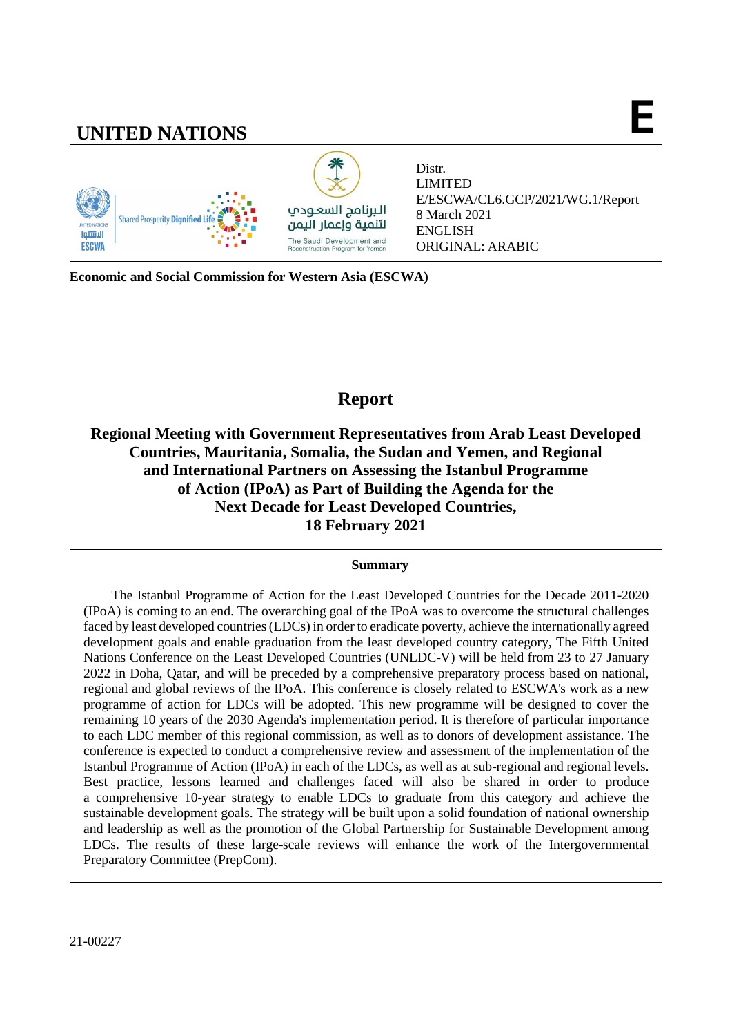# **UNITED NATIONS E**



Distr. LIMITED E/ESCWA/CL6.GCP/2021/WG.1/Report 8 March 2021 ENGLISH ORIGINAL: ARABIC

**Economic and Social Commission for Western Asia (ESCWA)**

# **Report**

**Regional Meeting with Government Representatives from Arab Least Developed Countries, Mauritania, Somalia, the Sudan and Yemen, and Regional and International Partners on Assessing the Istanbul Programme of Action (IPoA) as Part of Building the Agenda for the Next Decade for Least Developed Countries, 18 February 2021**

### **Summary**

The Istanbul Programme of Action for the Least Developed Countries for the Decade 2011-2020 (IPoA) is coming to an end. The overarching goal of the IPoA was to overcome the structural challenges faced by least developed countries (LDCs) in order to eradicate poverty, achieve the internationally agreed development goals and enable graduation from the least developed country category, The Fifth United Nations Conference on the Least Developed Countries (UNLDC-V) will be held from 23 to 27 January 2022 in Doha, Qatar, and will be preceded by a comprehensive preparatory process based on national, regional and global reviews of the IPoA. This conference is closely related to ESCWA's work as a new programme of action for LDCs will be adopted. This new programme will be designed to cover the remaining 10 years of the 2030 Agenda's implementation period. It is therefore of particular importance to each LDC member of this regional commission, as well as to donors of development assistance. The conference is expected to conduct a comprehensive review and assessment of the implementation of the Istanbul Programme of Action (IPoA) in each of the LDCs, as well as at sub-regional and regional levels. Best practice, lessons learned and challenges faced will also be shared in order to produce a comprehensive 10-year strategy to enable LDCs to graduate from this category and achieve the sustainable development goals. The strategy will be built upon a solid foundation of national ownership and leadership as well as the promotion of the Global Partnership for Sustainable Development among LDCs. The results of these large-scale reviews will enhance the work of the Intergovernmental Preparatory Committee (PrepCom).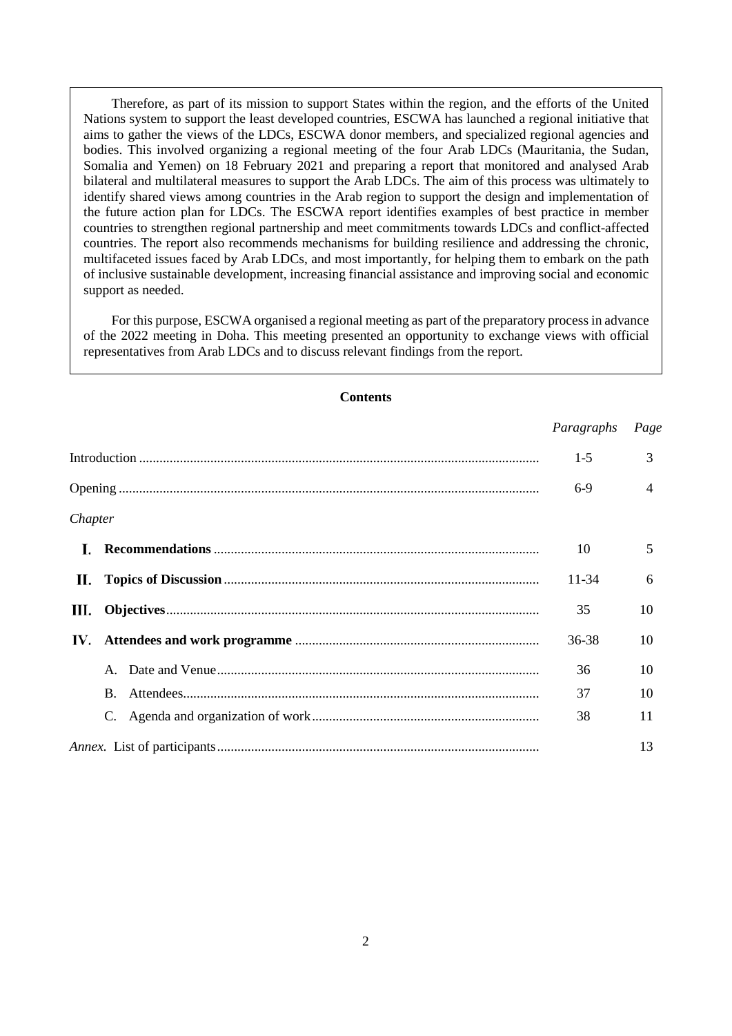Therefore, as part of its mission to support States within the region, and the efforts of the United Nations system to support the least developed countries, ESCWA has launched a regional initiative that aims to gather the views of the LDCs, ESCWA donor members, and specialized regional agencies and bodies. This involved organizing a regional meeting of the four Arab LDCs (Mauritania, the Sudan, Somalia and Yemen) on 18 February 2021 and preparing a report that monitored and analysed Arab bilateral and multilateral measures to support the Arab LDCs. The aim of this process was ultimately to identify shared views among countries in the Arab region to support the design and implementation of the future action plan for LDCs. The ESCWA report identifies examples of best practice in member countries to strengthen regional partnership and meet commitments towards LDCs and conflict-affected countries. The report also recommends mechanisms for building resilience and addressing the chronic, multifaceted issues faced by Arab LDCs, and most importantly, for helping them to embark on the path of inclusive sustainable development, increasing financial assistance and improving social and economic support as needed.

For this purpose, ESCWA organised a regional meeting as part of the preparatory process in advance of the 2022 meeting in Doha. This meeting presented an opportunity to exchange views with official representatives from Arab LDCs and to discuss relevant findings from the report.

| Contents |              |            |      |  |  |
|----------|--------------|------------|------|--|--|
|          |              | Paragraphs | Page |  |  |
|          |              |            | 3    |  |  |
|          |              |            | 4    |  |  |
| Chapter  |              |            |      |  |  |
| L.       |              | 10         | 5    |  |  |
| П.       |              | $11 - 34$  | 6    |  |  |
| Ш.       |              |            | 10   |  |  |
| IV.      |              |            | 10   |  |  |
|          | $\mathbf{A}$ | 36         | 10   |  |  |
|          | B.           | 37         | 10   |  |  |
|          |              | 38         | 11   |  |  |
|          |              |            | 13   |  |  |

**Contents**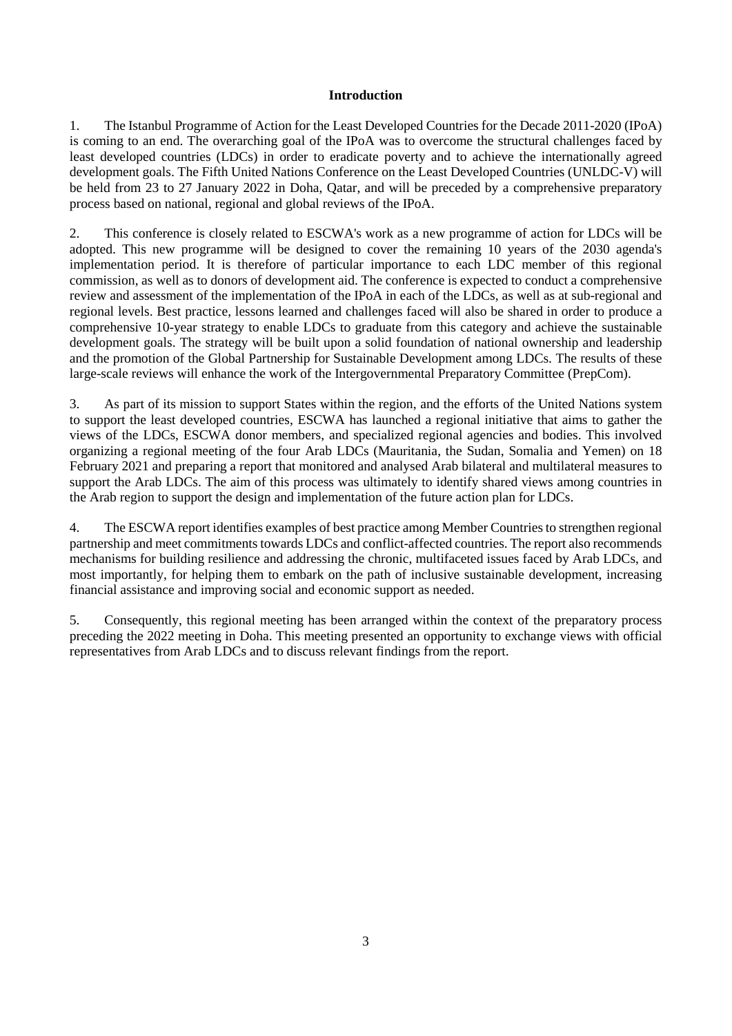#### **Introduction**

<span id="page-2-0"></span>1. The Istanbul Programme of Action for the Least Developed Countries for the Decade 2011-2020 (IPoA) is coming to an end. The overarching goal of the IPoA was to overcome the structural challenges faced by least developed countries (LDCs) in order to eradicate poverty and to achieve the internationally agreed development goals. The Fifth United Nations Conference on the Least Developed Countries (UNLDC-V) will be held from 23 to 27 January 2022 in Doha, Qatar, and will be preceded by a comprehensive preparatory process based on national, regional and global reviews of the IPoA.

2. This conference is closely related to ESCWA's work as a new programme of action for LDCs will be adopted. This new programme will be designed to cover the remaining 10 years of the 2030 agenda's implementation period. It is therefore of particular importance to each LDC member of this regional commission, as well as to donors of development aid. The conference is expected to conduct a comprehensive review and assessment of the implementation of the IPoA in each of the LDCs, as well as at sub-regional and regional levels. Best practice, lessons learned and challenges faced will also be shared in order to produce a comprehensive 10-year strategy to enable LDCs to graduate from this category and achieve the sustainable development goals. The strategy will be built upon a solid foundation of national ownership and leadership and the promotion of the Global Partnership for Sustainable Development among LDCs. The results of these large-scale reviews will enhance the work of the Intergovernmental Preparatory Committee (PrepCom).

3. As part of its mission to support States within the region, and the efforts of the United Nations system to support the least developed countries, ESCWA has launched a regional initiative that aims to gather the views of the LDCs, ESCWA donor members, and specialized regional agencies and bodies. This involved organizing a regional meeting of the four Arab LDCs (Mauritania, the Sudan, Somalia and Yemen) on 18 February 2021 and preparing a report that monitored and analysed Arab bilateral and multilateral measures to support the Arab LDCs. The aim of this process was ultimately to identify shared views among countries in the Arab region to support the design and implementation of the future action plan for LDCs.

4. The ESCWA report identifies examples of best practice among Member Countries to strengthen regional partnership and meet commitments towards LDCs and conflict-affected countries. The report also recommends mechanisms for building resilience and addressing the chronic, multifaceted issues faced by Arab LDCs, and most importantly, for helping them to embark on the path of inclusive sustainable development, increasing financial assistance and improving social and economic support as needed.

5. Consequently, this regional meeting has been arranged within the context of the preparatory process preceding the 2022 meeting in Doha. This meeting presented an opportunity to exchange views with official representatives from Arab LDCs and to discuss relevant findings from the report.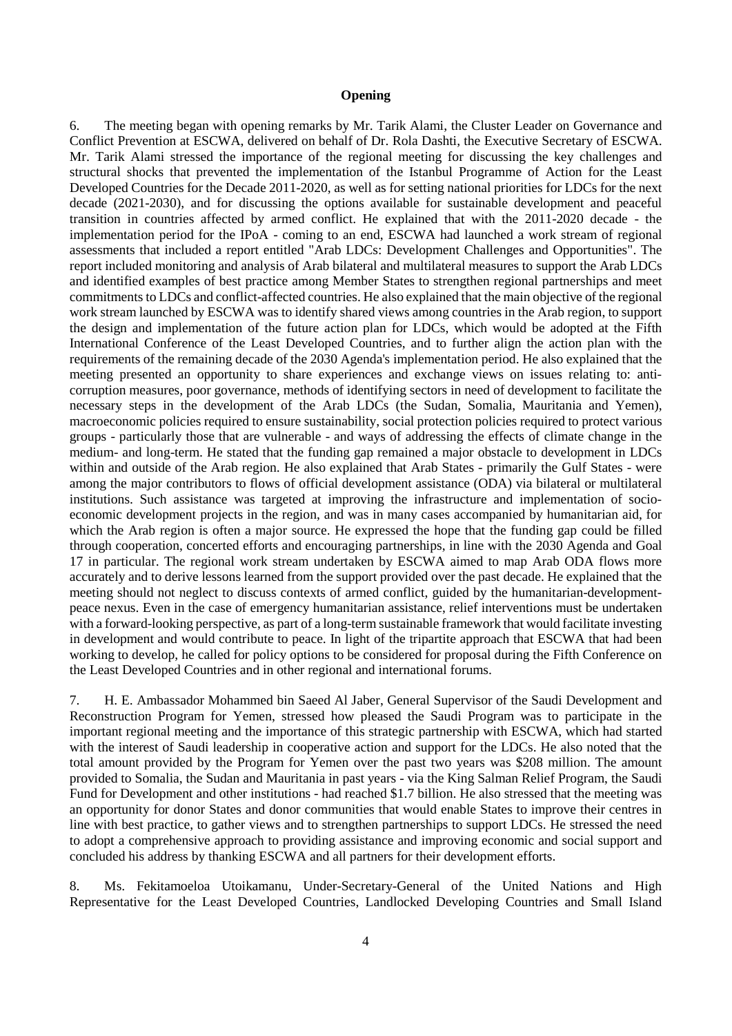#### **Opening**

<span id="page-3-0"></span>6. The meeting began with opening remarks by Mr. Tarik Alami, the Cluster Leader on Governance and Conflict Prevention at ESCWA, delivered on behalf of Dr. Rola Dashti, the Executive Secretary of ESCWA. Mr. Tarik Alami stressed the importance of the regional meeting for discussing the key challenges and structural shocks that prevented the implementation of the Istanbul Programme of Action for the Least Developed Countries for the Decade 2011-2020, as well as for setting national priorities for LDCs for the next decade (2021-2030), and for discussing the options available for sustainable development and peaceful transition in countries affected by armed conflict. He explained that with the 2011-2020 decade - the implementation period for the IPoA - coming to an end, ESCWA had launched a work stream of regional assessments that included a report entitled "Arab LDCs: Development Challenges and Opportunities". The report included monitoring and analysis of Arab bilateral and multilateral measures to support the Arab LDCs and identified examples of best practice among Member States to strengthen regional partnerships and meet commitments to LDCs and conflict-affected countries. He also explained that the main objective of the regional work stream launched by ESCWA was to identify shared views among countries in the Arab region, to support the design and implementation of the future action plan for LDCs, which would be adopted at the Fifth International Conference of the Least Developed Countries, and to further align the action plan with the requirements of the remaining decade of the 2030 Agenda's implementation period. He also explained that the meeting presented an opportunity to share experiences and exchange views on issues relating to: anticorruption measures, poor governance, methods of identifying sectors in need of development to facilitate the necessary steps in the development of the Arab LDCs (the Sudan, Somalia, Mauritania and Yemen), macroeconomic policies required to ensure sustainability, social protection policies required to protect various groups - particularly those that are vulnerable - and ways of addressing the effects of climate change in the medium- and long-term. He stated that the funding gap remained a major obstacle to development in LDCs within and outside of the Arab region. He also explained that Arab States - primarily the Gulf States - were among the major contributors to flows of official development assistance (ODA) via bilateral or multilateral institutions. Such assistance was targeted at improving the infrastructure and implementation of socioeconomic development projects in the region, and was in many cases accompanied by humanitarian aid, for which the Arab region is often a major source. He expressed the hope that the funding gap could be filled through cooperation, concerted efforts and encouraging partnerships, in line with the 2030 Agenda and Goal 17 in particular. The regional work stream undertaken by ESCWA aimed to map Arab ODA flows more accurately and to derive lessons learned from the support provided over the past decade. He explained that the meeting should not neglect to discuss contexts of armed conflict, guided by the humanitarian-developmentpeace nexus. Even in the case of emergency humanitarian assistance, relief interventions must be undertaken with a forward-looking perspective, as part of a long-term sustainable framework that would facilitate investing in development and would contribute to peace. In light of the tripartite approach that ESCWA that had been working to develop, he called for policy options to be considered for proposal during the Fifth Conference on the Least Developed Countries and in other regional and international forums.

7. H. E. Ambassador Mohammed bin Saeed Al Jaber, General Supervisor of the Saudi Development and Reconstruction Program for Yemen, stressed how pleased the Saudi Program was to participate in the important regional meeting and the importance of this strategic partnership with ESCWA, which had started with the interest of Saudi leadership in cooperative action and support for the LDCs. He also noted that the total amount provided by the Program for Yemen over the past two years was \$208 million. The amount provided to Somalia, the Sudan and Mauritania in past years - via the King Salman Relief Program, the Saudi Fund for Development and other institutions - had reached \$1.7 billion. He also stressed that the meeting was an opportunity for donor States and donor communities that would enable States to improve their centres in line with best practice, to gather views and to strengthen partnerships to support LDCs. He stressed the need to adopt a comprehensive approach to providing assistance and improving economic and social support and concluded his address by thanking ESCWA and all partners for their development efforts.

8. Ms. Fekitamoeloa Utoikamanu, Under-Secretary-General of the United Nations and High Representative for the Least Developed Countries, Landlocked Developing Countries and Small Island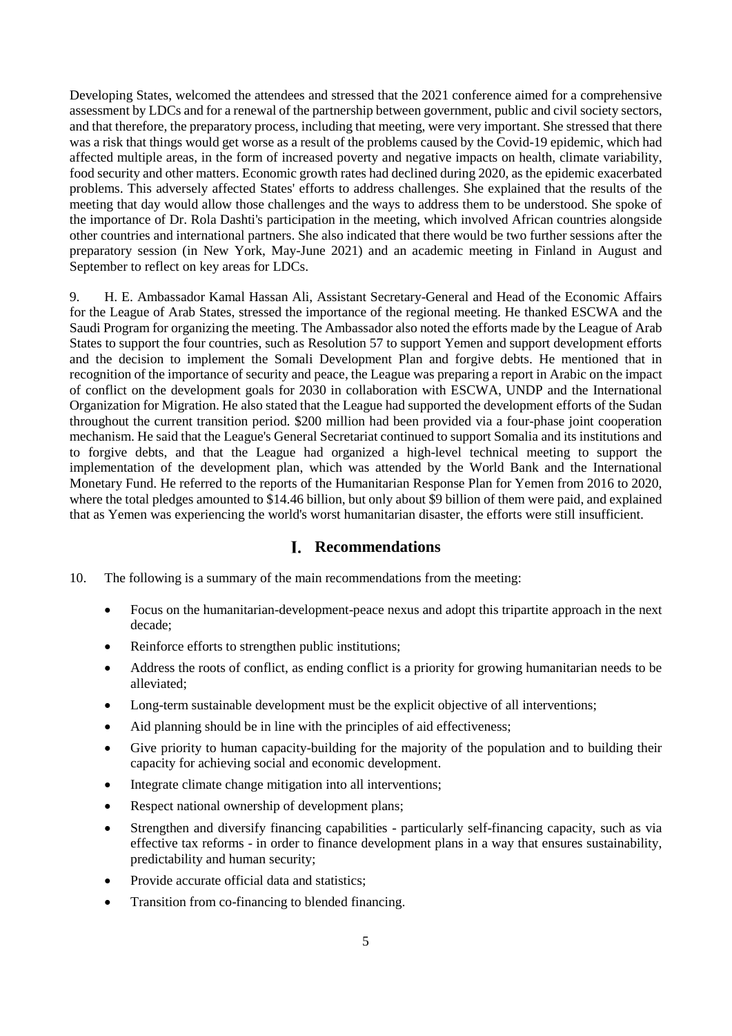Developing States, welcomed the attendees and stressed that the 2021 conference aimed for a comprehensive assessment by LDCs and for a renewal of the partnership between government, public and civil society sectors, and that therefore, the preparatory process, including that meeting, were very important. She stressed that there was a risk that things would get worse as a result of the problems caused by the Covid-19 epidemic, which had affected multiple areas, in the form of increased poverty and negative impacts on health, climate variability, food security and other matters. Economic growth rates had declined during 2020, as the epidemic exacerbated problems. This adversely affected States' efforts to address challenges. She explained that the results of the meeting that day would allow those challenges and the ways to address them to be understood. She spoke of the importance of Dr. Rola Dashti's participation in the meeting, which involved African countries alongside other countries and international partners. She also indicated that there would be two further sessions after the preparatory session (in New York, May-June 2021) and an academic meeting in Finland in August and September to reflect on key areas for LDCs.

9. H. E. Ambassador Kamal Hassan Ali, Assistant Secretary-General and Head of the Economic Affairs for the League of Arab States, stressed the importance of the regional meeting. He thanked ESCWA and the Saudi Program for organizing the meeting. The Ambassador also noted the efforts made by the League of Arab States to support the four countries, such as Resolution 57 to support Yemen and support development efforts and the decision to implement the Somali Development Plan and forgive debts. He mentioned that in recognition of the importance of security and peace, the League was preparing a report in Arabic on the impact of conflict on the development goals for 2030 in collaboration with ESCWA, UNDP and the International Organization for Migration. He also stated that the League had supported the development efforts of the Sudan throughout the current transition period. \$200 million had been provided via a four-phase joint cooperation mechanism. He said that the League's General Secretariat continued to support Somalia and its institutions and to forgive debts, and that the League had organized a high-level technical meeting to support the implementation of the development plan, which was attended by the World Bank and the International Monetary Fund. He referred to the reports of the Humanitarian Response Plan for Yemen from 2016 to 2020, where the total pledges amounted to \$14.46 billion, but only about \$9 billion of them were paid, and explained that as Yemen was experiencing the world's worst humanitarian disaster, the efforts were still insufficient.

# **Recommendations**

- <span id="page-4-0"></span>10. The following is a summary of the main recommendations from the meeting:
	- Focus on the humanitarian-development-peace nexus and adopt this tripartite approach in the next decade;
	- Reinforce efforts to strengthen public institutions;
	- Address the roots of conflict, as ending conflict is a priority for growing humanitarian needs to be alleviated;
	- Long-term sustainable development must be the explicit objective of all interventions;
	- Aid planning should be in line with the principles of aid effectiveness;
	- Give priority to human capacity-building for the majority of the population and to building their capacity for achieving social and economic development.
	- Integrate climate change mitigation into all interventions;
	- Respect national ownership of development plans;
	- Strengthen and diversify financing capabilities particularly self-financing capacity, such as via effective tax reforms - in order to finance development plans in a way that ensures sustainability, predictability and human security;
	- Provide accurate official data and statistics;
	- Transition from co-financing to blended financing.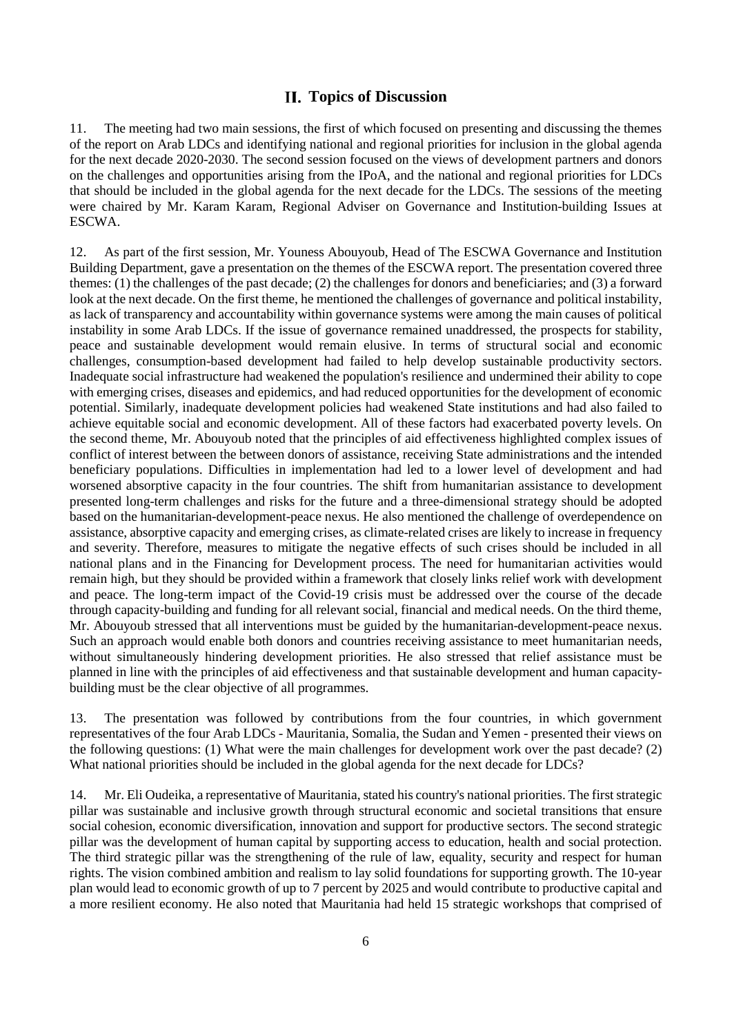# **Topics of Discussion**

<span id="page-5-0"></span>11. The meeting had two main sessions, the first of which focused on presenting and discussing the themes of the report on Arab LDCs and identifying national and regional priorities for inclusion in the global agenda for the next decade 2020-2030. The second session focused on the views of development partners and donors on the challenges and opportunities arising from the IPoA, and the national and regional priorities for LDCs that should be included in the global agenda for the next decade for the LDCs. The sessions of the meeting were chaired by Mr. Karam Karam, Regional Adviser on Governance and Institution-building Issues at ESCWA.

12. As part of the first session, Mr. Youness Abouyoub, Head of The ESCWA Governance and Institution Building Department, gave a presentation on the themes of the ESCWA report. The presentation covered three themes: (1) the challenges of the past decade; (2) the challenges for donors and beneficiaries; and (3) a forward look at the next decade. On the first theme, he mentioned the challenges of governance and political instability, as lack of transparency and accountability within governance systems were among the main causes of political instability in some Arab LDCs. If the issue of governance remained unaddressed, the prospects for stability, peace and sustainable development would remain elusive. In terms of structural social and economic challenges, consumption-based development had failed to help develop sustainable productivity sectors. Inadequate social infrastructure had weakened the population's resilience and undermined their ability to cope with emerging crises, diseases and epidemics, and had reduced opportunities for the development of economic potential. Similarly, inadequate development policies had weakened State institutions and had also failed to achieve equitable social and economic development. All of these factors had exacerbated poverty levels. On the second theme, Mr. Abouyoub noted that the principles of aid effectiveness highlighted complex issues of conflict of interest between the between donors of assistance, receiving State administrations and the intended beneficiary populations. Difficulties in implementation had led to a lower level of development and had worsened absorptive capacity in the four countries. The shift from humanitarian assistance to development presented long-term challenges and risks for the future and a three-dimensional strategy should be adopted based on the humanitarian-development-peace nexus. He also mentioned the challenge of overdependence on assistance, absorptive capacity and emerging crises, as climate-related crises are likely to increase in frequency and severity. Therefore, measures to mitigate the negative effects of such crises should be included in all national plans and in the Financing for Development process. The need for humanitarian activities would remain high, but they should be provided within a framework that closely links relief work with development and peace. The long-term impact of the Covid-19 crisis must be addressed over the course of the decade through capacity-building and funding for all relevant social, financial and medical needs. On the third theme, Mr. Abouyoub stressed that all interventions must be guided by the humanitarian-development-peace nexus. Such an approach would enable both donors and countries receiving assistance to meet humanitarian needs, without simultaneously hindering development priorities. He also stressed that relief assistance must be planned in line with the principles of aid effectiveness and that sustainable development and human capacitybuilding must be the clear objective of all programmes.

13. The presentation was followed by contributions from the four countries, in which government representatives of the four Arab LDCs - Mauritania, Somalia, the Sudan and Yemen - presented their views on the following questions: (1) What were the main challenges for development work over the past decade? (2) What national priorities should be included in the global agenda for the next decade for LDCs?

14. Mr. Eli Oudeika, a representative of Mauritania, stated his country's national priorities. The first strategic pillar was sustainable and inclusive growth through structural economic and societal transitions that ensure social cohesion, economic diversification, innovation and support for productive sectors. The second strategic pillar was the development of human capital by supporting access to education, health and social protection. The third strategic pillar was the strengthening of the rule of law, equality, security and respect for human rights. The vision combined ambition and realism to lay solid foundations for supporting growth. The 10-year plan would lead to economic growth of up to 7 percent by 2025 and would contribute to productive capital and a more resilient economy. He also noted that Mauritania had held 15 strategic workshops that comprised of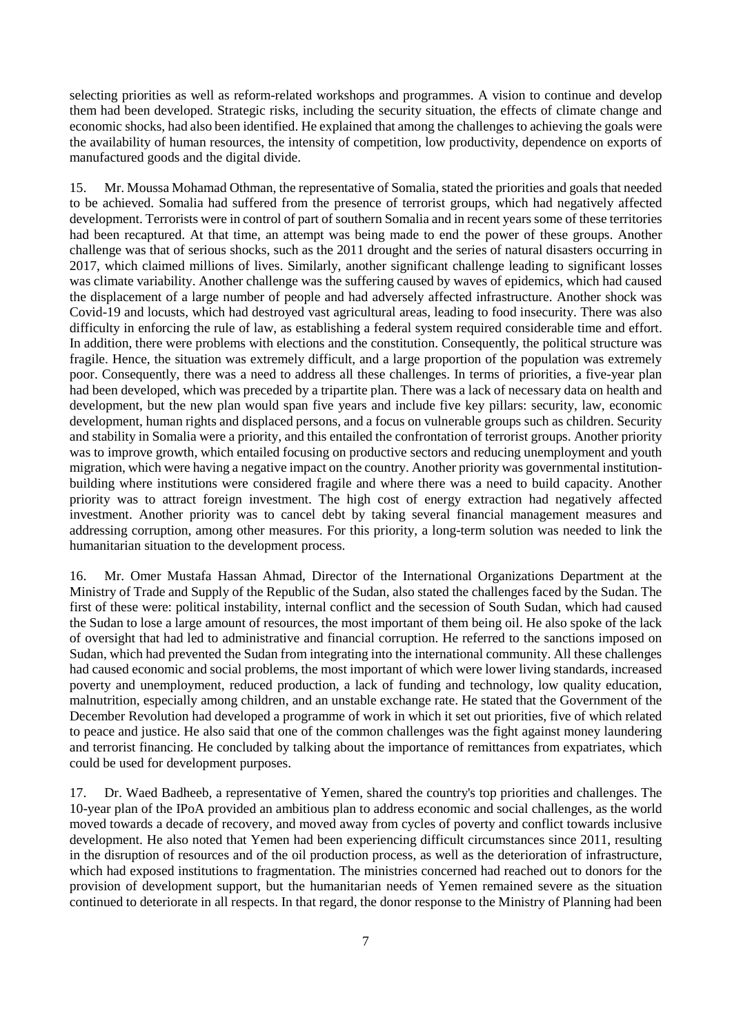selecting priorities as well as reform-related workshops and programmes. A vision to continue and develop them had been developed. Strategic risks, including the security situation, the effects of climate change and economic shocks, had also been identified. He explained that among the challenges to achieving the goals were the availability of human resources, the intensity of competition, low productivity, dependence on exports of manufactured goods and the digital divide.

15. Mr. Moussa Mohamad Othman, the representative of Somalia, stated the priorities and goals that needed to be achieved. Somalia had suffered from the presence of terrorist groups, which had negatively affected development. Terrorists were in control of part of southern Somalia and in recent years some of these territories had been recaptured. At that time, an attempt was being made to end the power of these groups. Another challenge was that of serious shocks, such as the 2011 drought and the series of natural disasters occurring in 2017, which claimed millions of lives. Similarly, another significant challenge leading to significant losses was climate variability. Another challenge was the suffering caused by waves of epidemics, which had caused the displacement of a large number of people and had adversely affected infrastructure. Another shock was Covid-19 and locusts, which had destroyed vast agricultural areas, leading to food insecurity. There was also difficulty in enforcing the rule of law, as establishing a federal system required considerable time and effort. In addition, there were problems with elections and the constitution. Consequently, the political structure was fragile. Hence, the situation was extremely difficult, and a large proportion of the population was extremely poor. Consequently, there was a need to address all these challenges. In terms of priorities, a five-year plan had been developed, which was preceded by a tripartite plan. There was a lack of necessary data on health and development, but the new plan would span five years and include five key pillars: security, law, economic development, human rights and displaced persons, and a focus on vulnerable groups such as children. Security and stability in Somalia were a priority, and this entailed the confrontation of terrorist groups. Another priority was to improve growth, which entailed focusing on productive sectors and reducing unemployment and youth migration, which were having a negative impact on the country. Another priority was governmental institutionbuilding where institutions were considered fragile and where there was a need to build capacity. Another priority was to attract foreign investment. The high cost of energy extraction had negatively affected investment. Another priority was to cancel debt by taking several financial management measures and addressing corruption, among other measures. For this priority, a long-term solution was needed to link the humanitarian situation to the development process.

16. Mr. Omer Mustafa Hassan Ahmad, Director of the International Organizations Department at the Ministry of Trade and Supply of the Republic of the Sudan, also stated the challenges faced by the Sudan. The first of these were: political instability, internal conflict and the secession of South Sudan, which had caused the Sudan to lose a large amount of resources, the most important of them being oil. He also spoke of the lack of oversight that had led to administrative and financial corruption. He referred to the sanctions imposed on Sudan, which had prevented the Sudan from integrating into the international community. All these challenges had caused economic and social problems, the most important of which were lower living standards, increased poverty and unemployment, reduced production, a lack of funding and technology, low quality education, malnutrition, especially among children, and an unstable exchange rate. He stated that the Government of the December Revolution had developed a programme of work in which it set out priorities, five of which related to peace and justice. He also said that one of the common challenges was the fight against money laundering and terrorist financing. He concluded by talking about the importance of remittances from expatriates, which could be used for development purposes.

17. Dr. Waed Badheeb, a representative of Yemen, shared the country's top priorities and challenges. The 10-year plan of the IPoA provided an ambitious plan to address economic and social challenges, as the world moved towards a decade of recovery, and moved away from cycles of poverty and conflict towards inclusive development. He also noted that Yemen had been experiencing difficult circumstances since 2011, resulting in the disruption of resources and of the oil production process, as well as the deterioration of infrastructure, which had exposed institutions to fragmentation. The ministries concerned had reached out to donors for the provision of development support, but the humanitarian needs of Yemen remained severe as the situation continued to deteriorate in all respects. In that regard, the donor response to the Ministry of Planning had been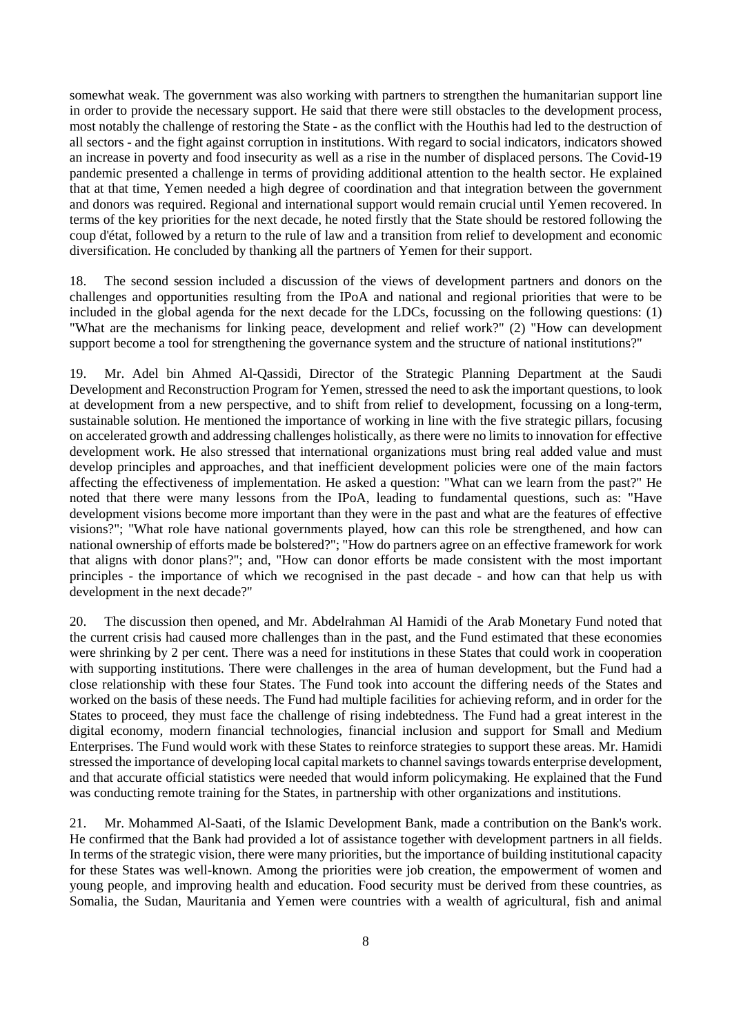somewhat weak. The government was also working with partners to strengthen the humanitarian support line in order to provide the necessary support. He said that there were still obstacles to the development process, most notably the challenge of restoring the State - as the conflict with the Houthis had led to the destruction of all sectors - and the fight against corruption in institutions. With regard to social indicators, indicators showed an increase in poverty and food insecurity as well as a rise in the number of displaced persons. The Covid-19 pandemic presented a challenge in terms of providing additional attention to the health sector. He explained that at that time, Yemen needed a high degree of coordination and that integration between the government and donors was required. Regional and international support would remain crucial until Yemen recovered. In terms of the key priorities for the next decade, he noted firstly that the State should be restored following the coup d'état, followed by a return to the rule of law and a transition from relief to development and economic diversification. He concluded by thanking all the partners of Yemen for their support.

18. The second session included a discussion of the views of development partners and donors on the challenges and opportunities resulting from the IPoA and national and regional priorities that were to be included in the global agenda for the next decade for the LDCs, focussing on the following questions: (1) "What are the mechanisms for linking peace, development and relief work?" (2) "How can development support become a tool for strengthening the governance system and the structure of national institutions?"

19. Mr. Adel bin Ahmed Al-Qassidi, Director of the Strategic Planning Department at the Saudi Development and Reconstruction Program for Yemen, stressed the need to ask the important questions, to look at development from a new perspective, and to shift from relief to development, focussing on a long-term, sustainable solution. He mentioned the importance of working in line with the five strategic pillars, focusing on accelerated growth and addressing challenges holistically, as there were no limits to innovation for effective development work. He also stressed that international organizations must bring real added value and must develop principles and approaches, and that inefficient development policies were one of the main factors affecting the effectiveness of implementation. He asked a question: "What can we learn from the past?" He noted that there were many lessons from the IPoA, leading to fundamental questions, such as: "Have development visions become more important than they were in the past and what are the features of effective visions?"; "What role have national governments played, how can this role be strengthened, and how can national ownership of efforts made be bolstered?"; "How do partners agree on an effective framework for work that aligns with donor plans?"; and, "How can donor efforts be made consistent with the most important principles - the importance of which we recognised in the past decade - and how can that help us with development in the next decade?"

20. The discussion then opened, and Mr. Abdelrahman Al Hamidi of the Arab Monetary Fund noted that the current crisis had caused more challenges than in the past, and the Fund estimated that these economies were shrinking by 2 per cent. There was a need for institutions in these States that could work in cooperation with supporting institutions. There were challenges in the area of human development, but the Fund had a close relationship with these four States. The Fund took into account the differing needs of the States and worked on the basis of these needs. The Fund had multiple facilities for achieving reform, and in order for the States to proceed, they must face the challenge of rising indebtedness. The Fund had a great interest in the digital economy, modern financial technologies, financial inclusion and support for Small and Medium Enterprises. The Fund would work with these States to reinforce strategies to support these areas. Mr. Hamidi stressed the importance of developing local capital markets to channel savings towards enterprise development, and that accurate official statistics were needed that would inform policymaking. He explained that the Fund was conducting remote training for the States, in partnership with other organizations and institutions.

21. Mr. Mohammed Al-Saati, of the Islamic Development Bank, made a contribution on the Bank's work. He confirmed that the Bank had provided a lot of assistance together with development partners in all fields. In terms of the strategic vision, there were many priorities, but the importance of building institutional capacity for these States was well-known. Among the priorities were job creation, the empowerment of women and young people, and improving health and education. Food security must be derived from these countries, as Somalia, the Sudan, Mauritania and Yemen were countries with a wealth of agricultural, fish and animal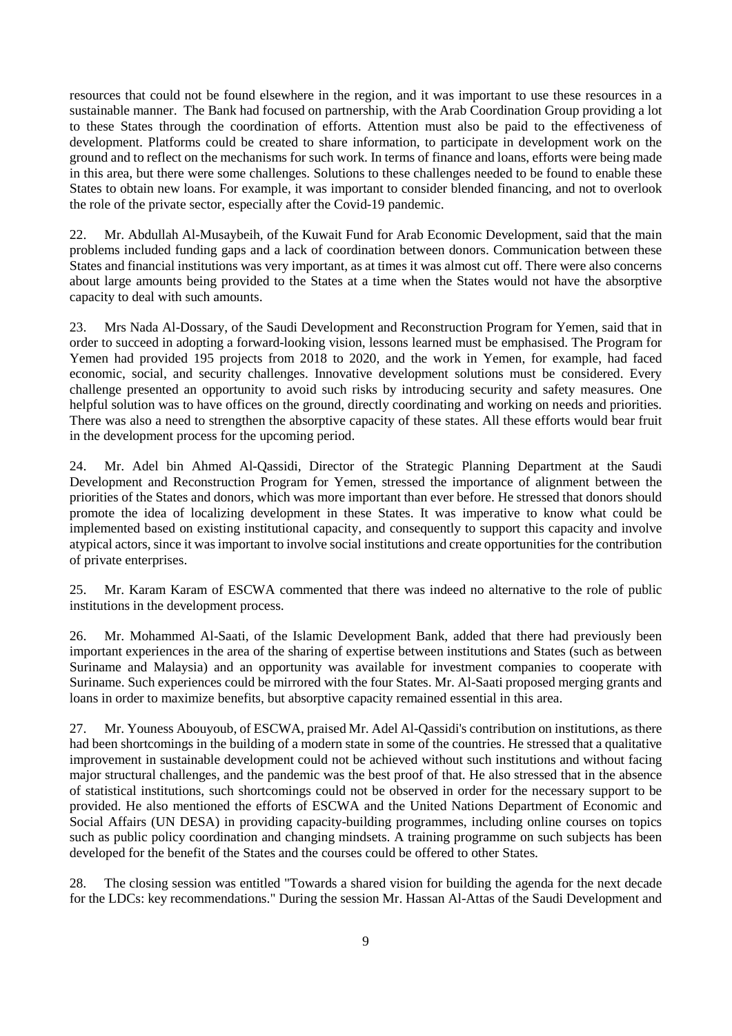resources that could not be found elsewhere in the region, and it was important to use these resources in a sustainable manner. The Bank had focused on partnership, with the Arab Coordination Group providing a lot to these States through the coordination of efforts. Attention must also be paid to the effectiveness of development. Platforms could be created to share information, to participate in development work on the ground and to reflect on the mechanisms for such work. In terms of finance and loans, efforts were being made in this area, but there were some challenges. Solutions to these challenges needed to be found to enable these States to obtain new loans. For example, it was important to consider blended financing, and not to overlook the role of the private sector, especially after the Covid-19 pandemic.

22. Mr. Abdullah Al-Musaybeih, of the Kuwait Fund for Arab Economic Development, said that the main problems included funding gaps and a lack of coordination between donors. Communication between these States and financial institutions was very important, as at times it was almost cut off. There were also concerns about large amounts being provided to the States at a time when the States would not have the absorptive capacity to deal with such amounts.

23. Mrs Nada Al-Dossary, of the Saudi Development and Reconstruction Program for Yemen, said that in order to succeed in adopting a forward-looking vision, lessons learned must be emphasised. The Program for Yemen had provided 195 projects from 2018 to 2020, and the work in Yemen, for example, had faced economic, social, and security challenges. Innovative development solutions must be considered. Every challenge presented an opportunity to avoid such risks by introducing security and safety measures. One helpful solution was to have offices on the ground, directly coordinating and working on needs and priorities. There was also a need to strengthen the absorptive capacity of these states. All these efforts would bear fruit in the development process for the upcoming period.

24. Mr. Adel bin Ahmed Al-Qassidi, Director of the Strategic Planning Department at the Saudi Development and Reconstruction Program for Yemen, stressed the importance of alignment between the priorities of the States and donors, which was more important than ever before. He stressed that donors should promote the idea of localizing development in these States. It was imperative to know what could be implemented based on existing institutional capacity, and consequently to support this capacity and involve atypical actors, since it was important to involve social institutions and create opportunities for the contribution of private enterprises.

25. Mr. Karam Karam of ESCWA commented that there was indeed no alternative to the role of public institutions in the development process.

26. Mr. Mohammed Al-Saati, of the Islamic Development Bank, added that there had previously been important experiences in the area of the sharing of expertise between institutions and States (such as between Suriname and Malaysia) and an opportunity was available for investment companies to cooperate with Suriname. Such experiences could be mirrored with the four States. Mr. Al-Saati proposed merging grants and loans in order to maximize benefits, but absorptive capacity remained essential in this area.

27. Mr. Youness Abouyoub, of ESCWA, praised Mr. Adel Al-Qassidi's contribution on institutions, as there had been shortcomings in the building of a modern state in some of the countries. He stressed that a qualitative improvement in sustainable development could not be achieved without such institutions and without facing major structural challenges, and the pandemic was the best proof of that. He also stressed that in the absence of statistical institutions, such shortcomings could not be observed in order for the necessary support to be provided. He also mentioned the efforts of ESCWA and the United Nations Department of Economic and Social Affairs (UN DESA) in providing capacity-building programmes, including online courses on topics such as public policy coordination and changing mindsets. A training programme on such subjects has been developed for the benefit of the States and the courses could be offered to other States.

28. The closing session was entitled "Towards a shared vision for building the agenda for the next decade for the LDCs: key recommendations." During the session Mr. Hassan Al-Attas of the Saudi Development and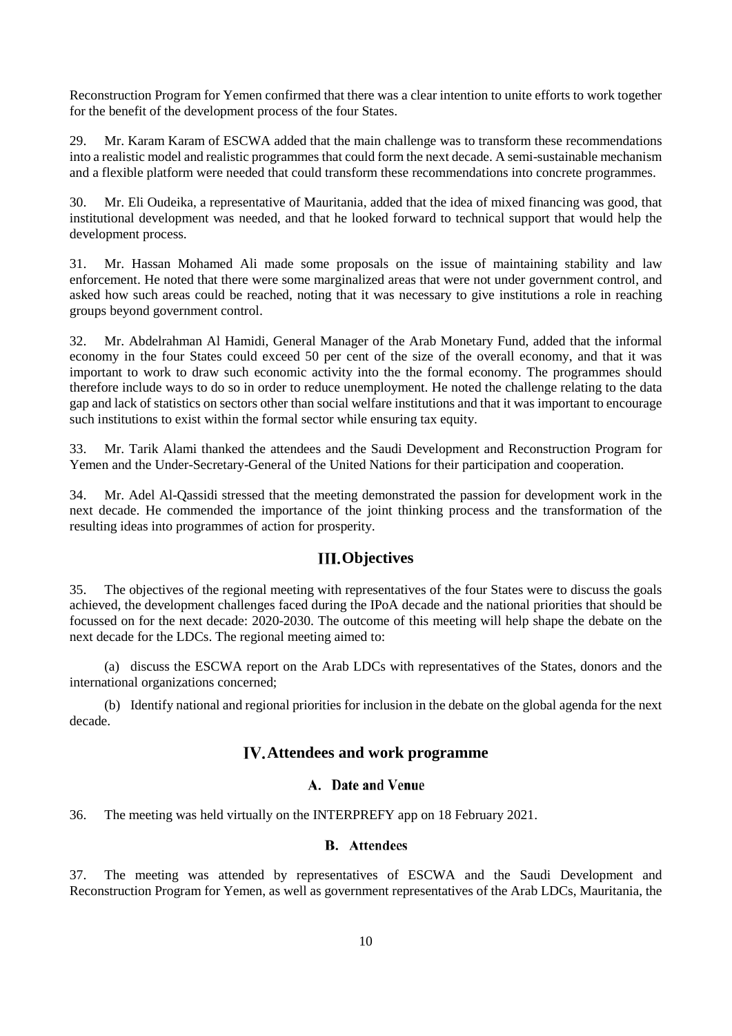Reconstruction Program for Yemen confirmed that there was a clear intention to unite efforts to work together for the benefit of the development process of the four States.

29. Mr. Karam Karam of ESCWA added that the main challenge was to transform these recommendations into a realistic model and realistic programmes that could form the next decade. A semi-sustainable mechanism and a flexible platform were needed that could transform these recommendations into concrete programmes.

30. Mr. Eli Oudeika, a representative of Mauritania, added that the idea of mixed financing was good, that institutional development was needed, and that he looked forward to technical support that would help the development process.

31. Mr. Hassan Mohamed Ali made some proposals on the issue of maintaining stability and law enforcement. He noted that there were some marginalized areas that were not under government control, and asked how such areas could be reached, noting that it was necessary to give institutions a role in reaching groups beyond government control.

32. Mr. Abdelrahman Al Hamidi, General Manager of the Arab Monetary Fund, added that the informal economy in the four States could exceed 50 per cent of the size of the overall economy, and that it was important to work to draw such economic activity into the the formal economy. The programmes should therefore include ways to do so in order to reduce unemployment. He noted the challenge relating to the data gap and lack of statistics on sectors other than social welfare institutions and that it was important to encourage such institutions to exist within the formal sector while ensuring tax equity.

33. Mr. Tarik Alami thanked the attendees and the Saudi Development and Reconstruction Program for Yemen and the Under-Secretary-General of the United Nations for their participation and cooperation.

34. Mr. Adel Al-Qassidi stressed that the meeting demonstrated the passion for development work in the next decade. He commended the importance of the joint thinking process and the transformation of the resulting ideas into programmes of action for prosperity.

# **III.** Objectives

<span id="page-9-0"></span>35. The objectives of the regional meeting with representatives of the four States were to discuss the goals achieved, the development challenges faced during the IPoA decade and the national priorities that should be focussed on for the next decade: 2020-2030. The outcome of this meeting will help shape the debate on the next decade for the LDCs. The regional meeting aimed to:

(a) discuss the ESCWA report on the Arab LDCs with representatives of the States, donors and the international organizations concerned;

<span id="page-9-1"></span>(b) Identify national and regional priorities for inclusion in the debate on the global agenda for the next decade.

# **Attendees and work programme**

#### A. Date and Venue

<span id="page-9-3"></span><span id="page-9-2"></span>36. The meeting was held virtually on the INTERPREFY app on 18 February 2021.

#### **B.** Attendees

37. The meeting was attended by representatives of ESCWA and the Saudi Development and Reconstruction Program for Yemen, as well as government representatives of the Arab LDCs, Mauritania, the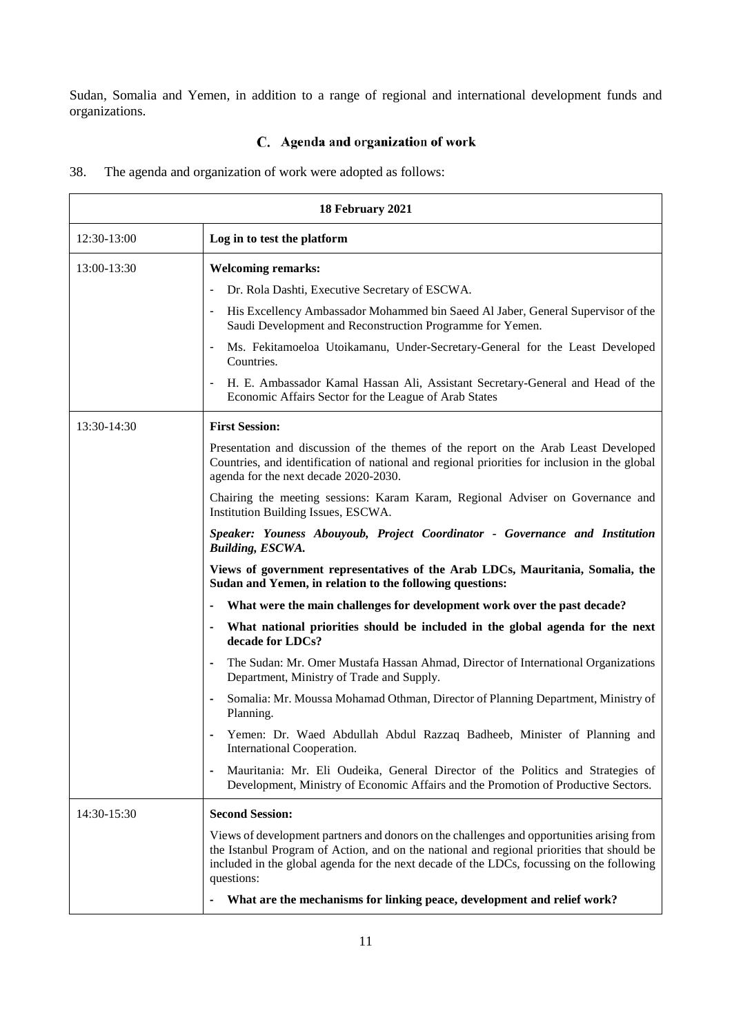Sudan, Somalia and Yemen, in addition to a range of regional and international development funds and organizations.

# C. Agenda and organization of work

<span id="page-10-0"></span>38. The agenda and organization of work were adopted as follows:

| 18 February 2021 |                                                                                                                                                                                                                                                                                                    |  |  |
|------------------|----------------------------------------------------------------------------------------------------------------------------------------------------------------------------------------------------------------------------------------------------------------------------------------------------|--|--|
| 12:30-13:00      | Log in to test the platform                                                                                                                                                                                                                                                                        |  |  |
| 13:00-13:30      | <b>Welcoming remarks:</b>                                                                                                                                                                                                                                                                          |  |  |
|                  | Dr. Rola Dashti, Executive Secretary of ESCWA.                                                                                                                                                                                                                                                     |  |  |
|                  | His Excellency Ambassador Mohammed bin Saeed Al Jaber, General Supervisor of the<br>Saudi Development and Reconstruction Programme for Yemen.                                                                                                                                                      |  |  |
|                  | Ms. Fekitamoeloa Utoikamanu, Under-Secretary-General for the Least Developed<br>Countries.                                                                                                                                                                                                         |  |  |
|                  | H. E. Ambassador Kamal Hassan Ali, Assistant Secretary-General and Head of the<br>Economic Affairs Sector for the League of Arab States                                                                                                                                                            |  |  |
| 13:30-14:30      | <b>First Session:</b>                                                                                                                                                                                                                                                                              |  |  |
|                  | Presentation and discussion of the themes of the report on the Arab Least Developed<br>Countries, and identification of national and regional priorities for inclusion in the global<br>agenda for the next decade 2020-2030.                                                                      |  |  |
|                  | Chairing the meeting sessions: Karam Karam, Regional Adviser on Governance and<br>Institution Building Issues, ESCWA.                                                                                                                                                                              |  |  |
|                  | Speaker: Youness Abouyoub, Project Coordinator - Governance and Institution<br><b>Building, ESCWA.</b>                                                                                                                                                                                             |  |  |
|                  | Views of government representatives of the Arab LDCs, Mauritania, Somalia, the<br>Sudan and Yemen, in relation to the following questions:                                                                                                                                                         |  |  |
|                  | What were the main challenges for development work over the past decade?                                                                                                                                                                                                                           |  |  |
|                  | What national priorities should be included in the global agenda for the next<br>decade for LDCs?                                                                                                                                                                                                  |  |  |
|                  | The Sudan: Mr. Omer Mustafa Hassan Ahmad, Director of International Organizations<br>Department, Ministry of Trade and Supply.                                                                                                                                                                     |  |  |
|                  | Somalia: Mr. Moussa Mohamad Othman, Director of Planning Department, Ministry of<br>Planning.                                                                                                                                                                                                      |  |  |
|                  | Yemen: Dr. Waed Abdullah Abdul Razzaq Badheeb, Minister of Planning and<br>International Cooperation.                                                                                                                                                                                              |  |  |
|                  | Mauritania: Mr. Eli Oudeika, General Director of the Politics and Strategies of<br>$\blacksquare$<br>Development, Ministry of Economic Affairs and the Promotion of Productive Sectors.                                                                                                            |  |  |
| 14:30-15:30      | <b>Second Session:</b>                                                                                                                                                                                                                                                                             |  |  |
|                  | Views of development partners and donors on the challenges and opportunities arising from<br>the Istanbul Program of Action, and on the national and regional priorities that should be<br>included in the global agenda for the next decade of the LDCs, focussing on the following<br>questions: |  |  |
|                  | What are the mechanisms for linking peace, development and relief work?                                                                                                                                                                                                                            |  |  |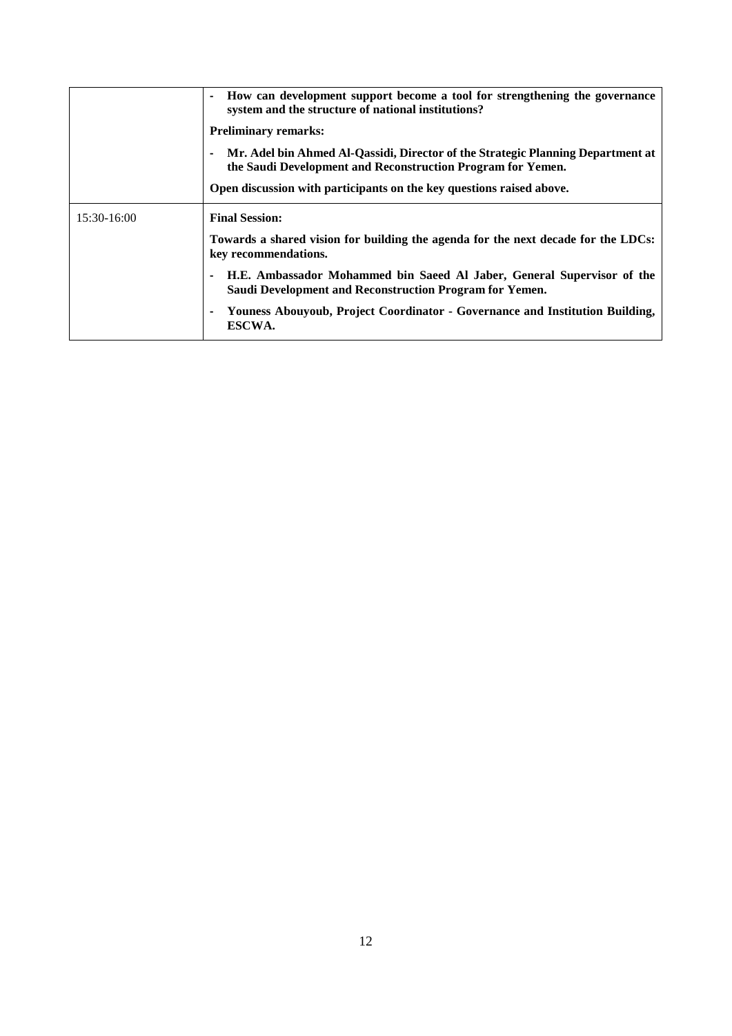|             | How can development support become a tool for strengthening the governance<br>system and the structure of national institutions?               |
|-------------|------------------------------------------------------------------------------------------------------------------------------------------------|
|             | <b>Preliminary remarks:</b>                                                                                                                    |
|             | Mr. Adel bin Ahmed Al-Qassidi, Director of the Strategic Planning Department at<br>the Saudi Development and Reconstruction Program for Yemen. |
|             | Open discussion with participants on the key questions raised above.                                                                           |
| 15:30-16:00 | <b>Final Session:</b>                                                                                                                          |
|             | Towards a shared vision for building the agenda for the next decade for the LDCs:<br>key recommendations.                                      |
|             | H.E. Ambassador Mohammed bin Saeed Al Jaber, General Supervisor of the<br>Saudi Development and Reconstruction Program for Yemen.              |
|             | Youness Abouyoub, Project Coordinator - Governance and Institution Building,<br>ESCWA.                                                         |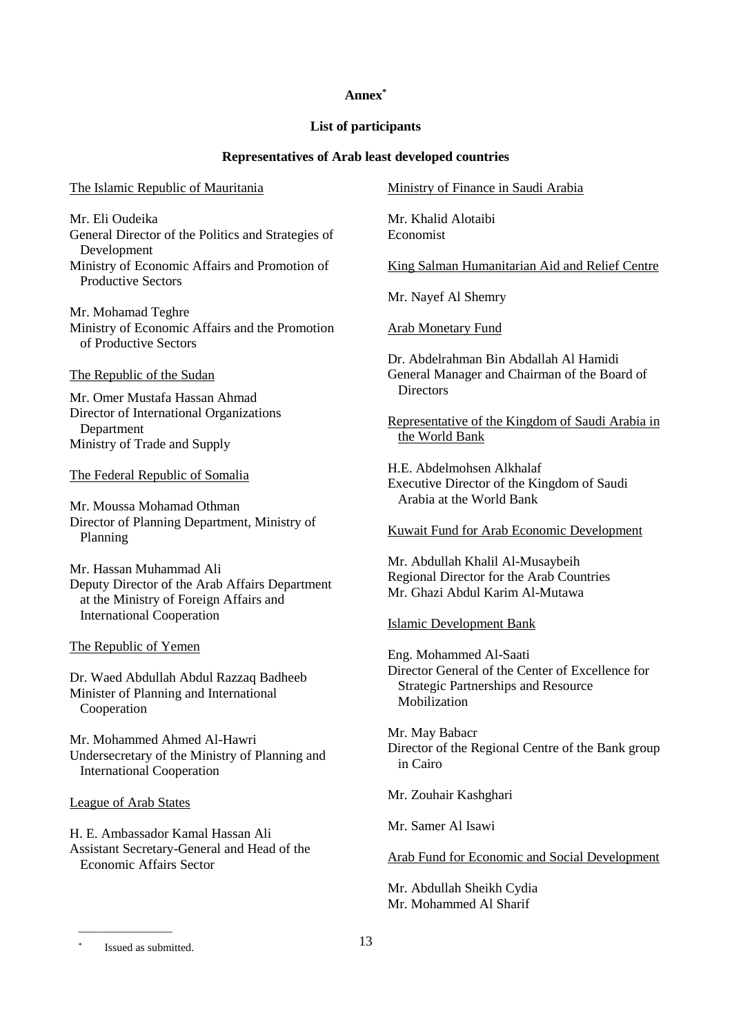#### **Annex\***

#### **List of participants**

## **Representatives of Arab least developed countries**

#### <span id="page-12-0"></span>The Islamic Republic of Mauritania

Mr. Eli Oudeika General Director of the Politics and Strategies of Development Ministry of Economic Affairs and Promotion of

Mr. Mohamad Teghre Ministry of Economic Affairs and the Promotion of Productive Sectors

The Republic of the Sudan

Productive Sectors

Mr. Omer Mustafa Hassan Ahmad Director of International Organizations Department Ministry of Trade and Supply

The Federal Republic of Somalia

Mr. Moussa Mohamad Othman Director of Planning Department, Ministry of Planning

Mr. Hassan Muhammad Ali Deputy Director of the Arab Affairs Department at the Ministry of Foreign Affairs and International Cooperation

The Republic of Yemen

Dr. Waed Abdullah Abdul Razzaq Badheeb Minister of Planning and International Cooperation

Mr. Mohammed Ahmed Al-Hawri Undersecretary of the Ministry of Planning and International Cooperation

League of Arab States

H. E. Ambassador Kamal Hassan Ali Assistant Secretary-General and Head of the Economic Affairs Sector

Ministry of Finance in Saudi Arabia

Mr. Khalid Alotaibi Economist

King Salman Humanitarian Aid and Relief Centre

Mr. Nayef Al Shemry

Arab Monetary Fund

Dr. Abdelrahman Bin Abdallah Al Hamidi General Manager and Chairman of the Board of **Directors** 

Representative of the Kingdom of Saudi Arabia in the World Bank

H.E. Abdelmohsen Alkhalaf Executive Director of the Kingdom of Saudi Arabia at the World Bank

Kuwait Fund for Arab Economic Development

Mr. Abdullah Khalil Al-Musaybeih Regional Director for the Arab Countries Mr. Ghazi Abdul Karim Al-Mutawa

Islamic Development Bank

Eng. Mohammed Al-Saati Director General of the Center of Excellence for Strategic Partnerships and Resource Mobilization

Mr. May Babacr Director of the Regional Centre of the Bank group in Cairo

Mr. Zouhair Kashghari

Mr. Samer Al Isawi

Arab Fund for Economic and Social Development

Mr. Abdullah Sheikh Cydia Mr. Mohammed Al Sharif

Issued as submitted.

 $\overline{\phantom{a}}$  , where  $\overline{\phantom{a}}$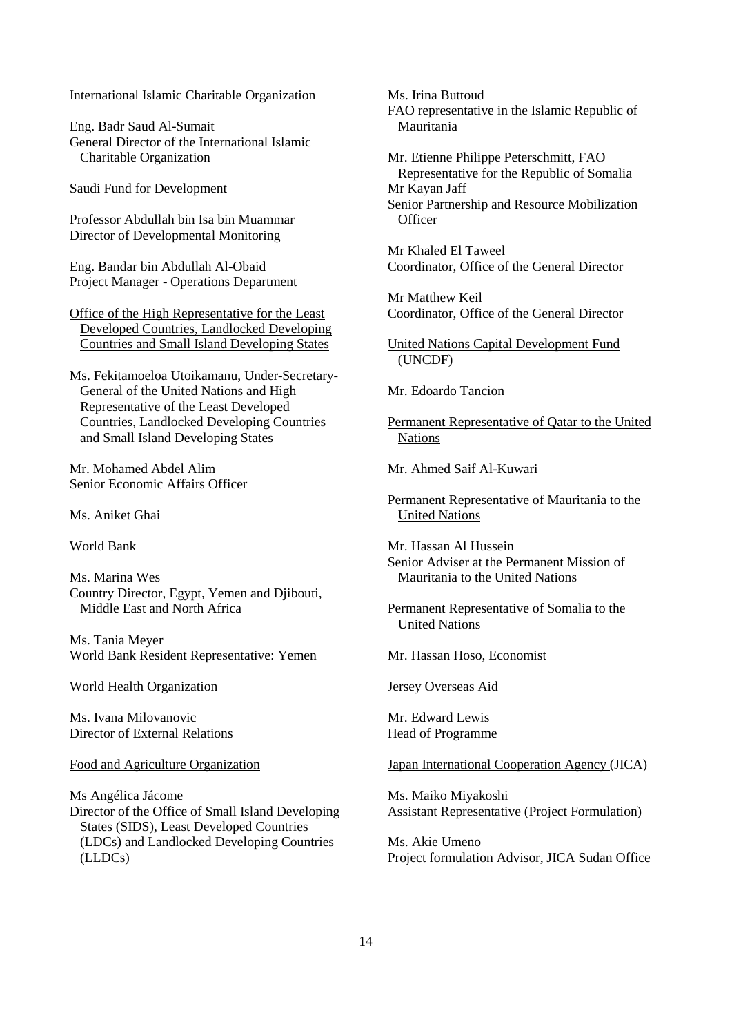#### International Islamic Charitable Organization

Eng. Badr Saud Al-Sumait General Director of the International Islamic Charitable Organization

Saudi Fund for Development

Professor Abdullah bin Isa bin Muammar Director of Developmental Monitoring

Eng. Bandar bin Abdullah Al-Obaid Project Manager - Operations Department

Office of the High Representative for the Least Developed Countries, Landlocked Developing Countries and Small Island Developing States

Ms. Fekitamoeloa Utoikamanu, Under-Secretary-General of the United Nations and High Representative of the Least Developed Countries, Landlocked Developing Countries and Small Island Developing States

Mr. Mohamed Abdel Alim Senior Economic Affairs Officer

Ms. Aniket Ghai

World Bank

Ms. Marina Wes Country Director, Egypt, Yemen and Djibouti, Middle East and North Africa

Ms. Tania Meyer World Bank Resident Representative: Yemen

World Health Organization

Ms. Ivana Milovanovic Director of External Relations

Food and Agriculture Organization

Ms Angélica Jácome Director of the Office of Small Island Developing States (SIDS), Least Developed Countries (LDCs) and Landlocked Developing Countries (LLDCs)

Ms. Irina Buttoud FAO representative in the Islamic Republic of Mauritania

Mr. Etienne Philippe Peterschmitt, FAO Representative for the Republic of Somalia Mr Kayan Jaff Senior Partnership and Resource Mobilization **Officer** 

Mr Khaled El Taweel Coordinator, Office of the General Director

Mr Matthew Keil Coordinator, Office of the General Director

United Nations Capital Development Fund (UNCDF)

Mr. Edoardo Tancion

Permanent Representative of Qatar to the United **Nations** 

Mr. Ahmed Saif Al-Kuwari

Permanent Representative of Mauritania to the United Nations

Mr. Hassan Al Hussein Senior Adviser at the Permanent Mission of Mauritania to the United Nations

Permanent Representative of Somalia to the United Nations

Mr. Hassan Hoso, Economist

Jersey Overseas Aid

Mr. Edward Lewis Head of Programme

Japan International Cooperation Agency (JICA)

Ms. Maiko Miyakoshi Assistant Representative (Project Formulation)

Ms. Akie Umeno Project formulation Advisor, JICA Sudan Office